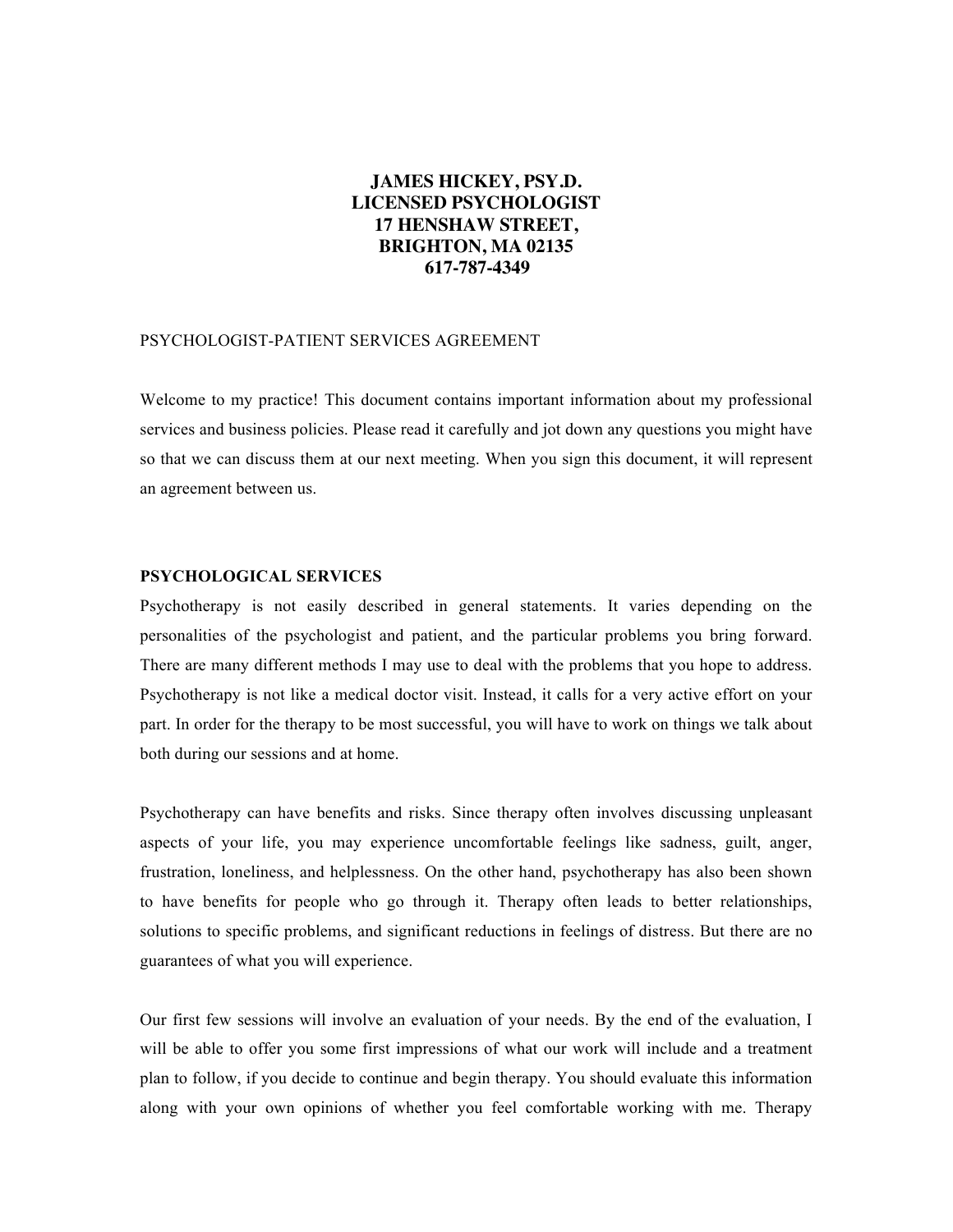# **JAMES HICKEY, PSY.D. LICENSED PSYCHOLOGIST 17 HENSHAW STREET, BRIGHTON, MA 02135 617-787-4349**

#### PSYCHOLOGIST-PATIENT SERVICES AGREEMENT

Welcome to my practice! This document contains important information about my professional services and business policies. Please read it carefully and jot down any questions you might have so that we can discuss them at our next meeting. When you sign this document, it will represent an agreement between us.

# **PSYCHOLOGICAL SERVICES**

Psychotherapy is not easily described in general statements. It varies depending on the personalities of the psychologist and patient, and the particular problems you bring forward. There are many different methods I may use to deal with the problems that you hope to address. Psychotherapy is not like a medical doctor visit. Instead, it calls for a very active effort on your part. In order for the therapy to be most successful, you will have to work on things we talk about both during our sessions and at home.

Psychotherapy can have benefits and risks. Since therapy often involves discussing unpleasant aspects of your life, you may experience uncomfortable feelings like sadness, guilt, anger, frustration, loneliness, and helplessness. On the other hand, psychotherapy has also been shown to have benefits for people who go through it. Therapy often leads to better relationships, solutions to specific problems, and significant reductions in feelings of distress. But there are no guarantees of what you will experience.

Our first few sessions will involve an evaluation of your needs. By the end of the evaluation, I will be able to offer you some first impressions of what our work will include and a treatment plan to follow, if you decide to continue and begin therapy. You should evaluate this information along with your own opinions of whether you feel comfortable working with me. Therapy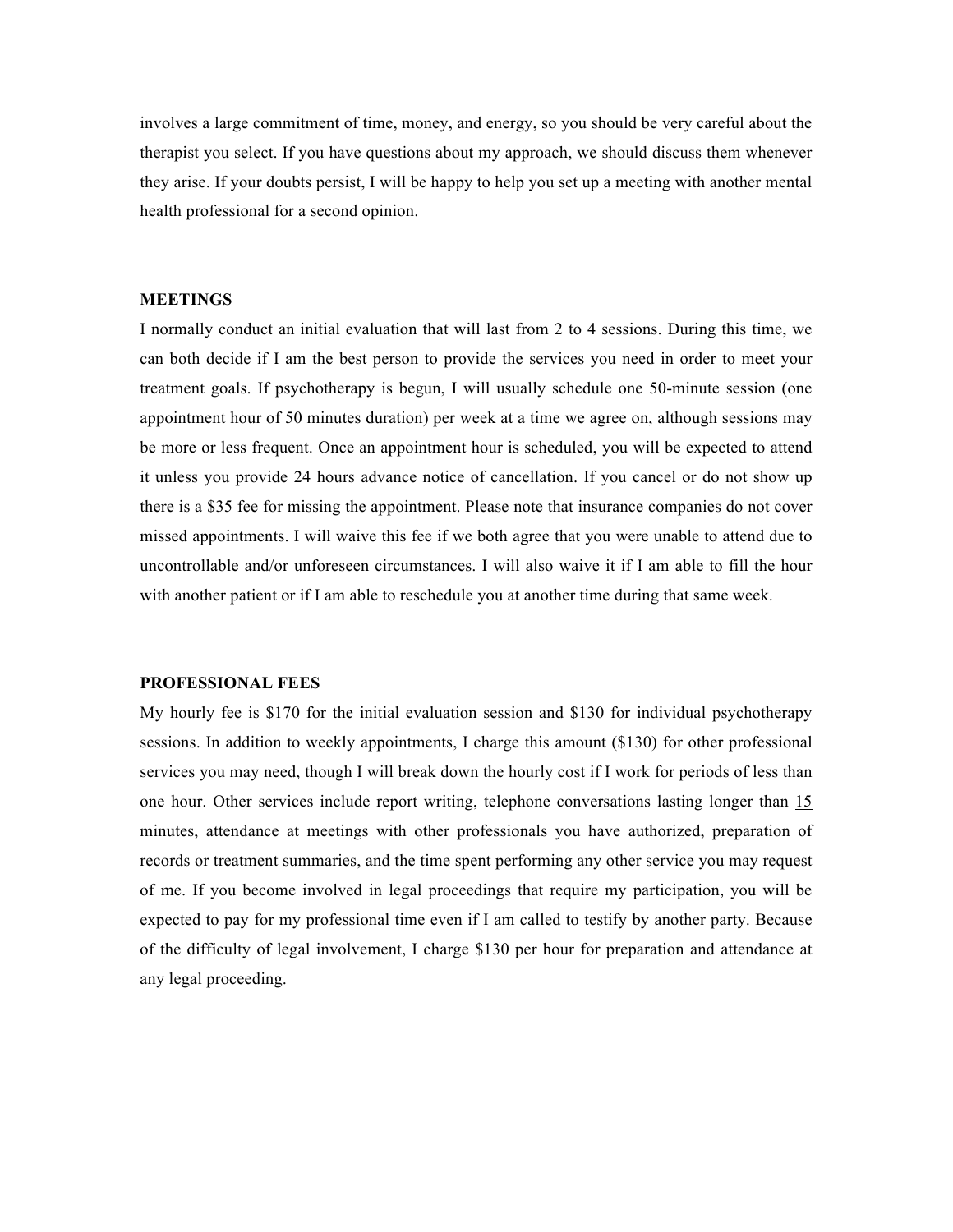involves a large commitment of time, money, and energy, so you should be very careful about the therapist you select. If you have questions about my approach, we should discuss them whenever they arise. If your doubts persist, I will be happy to help you set up a meeting with another mental health professional for a second opinion.

## **MEETINGS**

I normally conduct an initial evaluation that will last from 2 to 4 sessions. During this time, we can both decide if I am the best person to provide the services you need in order to meet your treatment goals. If psychotherapy is begun, I will usually schedule one 50-minute session (one appointment hour of 50 minutes duration) per week at a time we agree on, although sessions may be more or less frequent. Once an appointment hour is scheduled, you will be expected to attend it unless you provide 24 hours advance notice of cancellation. If you cancel or do not show up there is a \$35 fee for missing the appointment. Please note that insurance companies do not cover missed appointments. I will waive this fee if we both agree that you were unable to attend due to uncontrollable and/or unforeseen circumstances. I will also waive it if I am able to fill the hour with another patient or if I am able to reschedule you at another time during that same week.

# **PROFESSIONAL FEES**

My hourly fee is \$170 for the initial evaluation session and \$130 for individual psychotherapy sessions. In addition to weekly appointments, I charge this amount (\$130) for other professional services you may need, though I will break down the hourly cost if I work for periods of less than one hour. Other services include report writing, telephone conversations lasting longer than 15 minutes, attendance at meetings with other professionals you have authorized, preparation of records or treatment summaries, and the time spent performing any other service you may request of me. If you become involved in legal proceedings that require my participation, you will be expected to pay for my professional time even if I am called to testify by another party. Because of the difficulty of legal involvement, I charge \$130 per hour for preparation and attendance at any legal proceeding.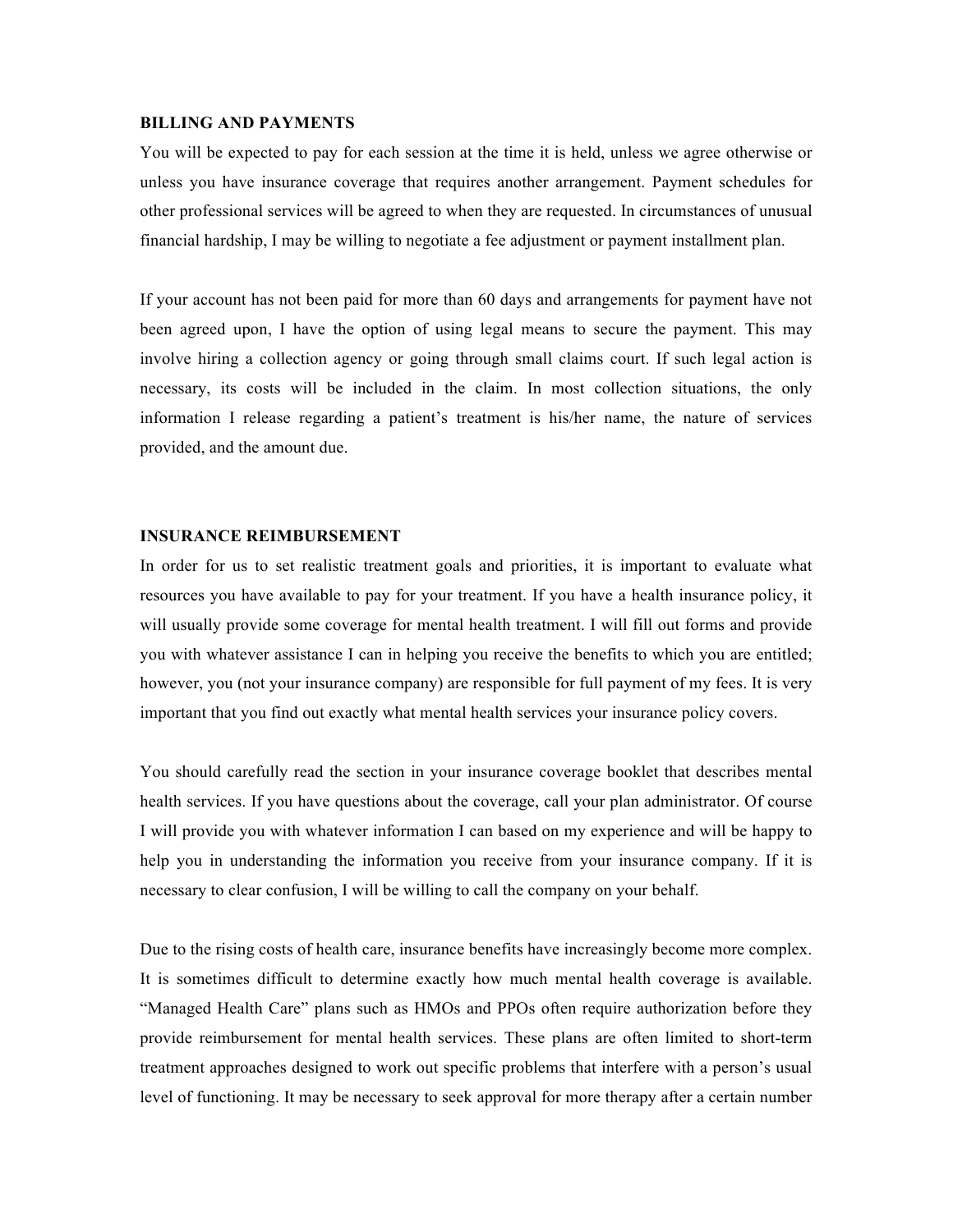#### **BILLING AND PAYMENTS**

You will be expected to pay for each session at the time it is held, unless we agree otherwise or unless you have insurance coverage that requires another arrangement. Payment schedules for other professional services will be agreed to when they are requested. In circumstances of unusual financial hardship, I may be willing to negotiate a fee adjustment or payment installment plan.

If your account has not been paid for more than 60 days and arrangements for payment have not been agreed upon, I have the option of using legal means to secure the payment. This may involve hiring a collection agency or going through small claims court. If such legal action is necessary, its costs will be included in the claim. In most collection situations, the only information I release regarding a patient's treatment is his/her name, the nature of services provided, and the amount due.

## **INSURANCE REIMBURSEMENT**

In order for us to set realistic treatment goals and priorities, it is important to evaluate what resources you have available to pay for your treatment. If you have a health insurance policy, it will usually provide some coverage for mental health treatment. I will fill out forms and provide you with whatever assistance I can in helping you receive the benefits to which you are entitled; however, you (not your insurance company) are responsible for full payment of my fees. It is very important that you find out exactly what mental health services your insurance policy covers.

You should carefully read the section in your insurance coverage booklet that describes mental health services. If you have questions about the coverage, call your plan administrator. Of course I will provide you with whatever information I can based on my experience and will be happy to help you in understanding the information you receive from your insurance company. If it is necessary to clear confusion, I will be willing to call the company on your behalf.

Due to the rising costs of health care, insurance benefits have increasingly become more complex. It is sometimes difficult to determine exactly how much mental health coverage is available. "Managed Health Care" plans such as HMOs and PPOs often require authorization before they provide reimbursement for mental health services. These plans are often limited to short-term treatment approaches designed to work out specific problems that interfere with a person's usual level of functioning. It may be necessary to seek approval for more therapy after a certain number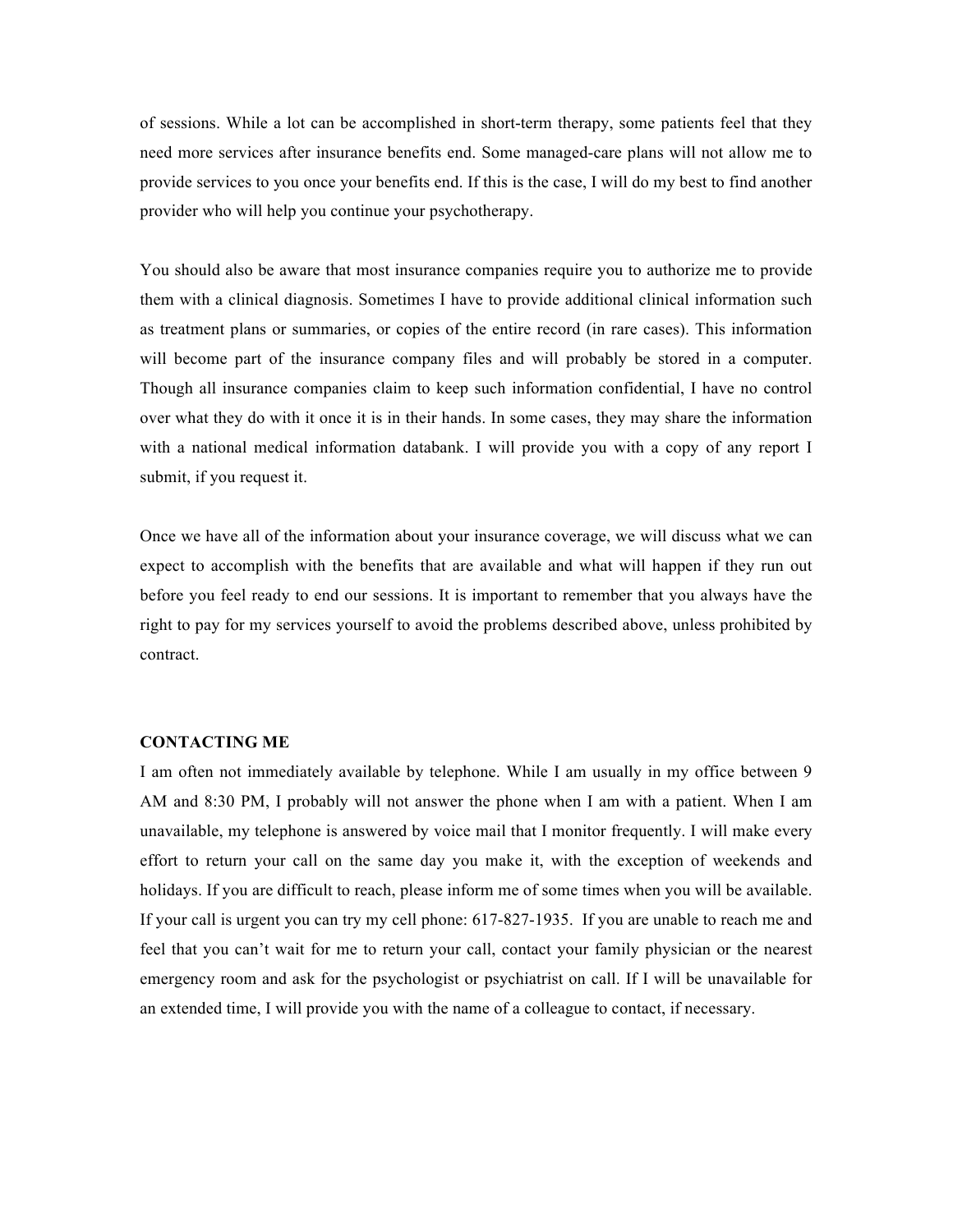of sessions. While a lot can be accomplished in short-term therapy, some patients feel that they need more services after insurance benefits end. Some managed-care plans will not allow me to provide services to you once your benefits end. If this is the case, I will do my best to find another provider who will help you continue your psychotherapy.

You should also be aware that most insurance companies require you to authorize me to provide them with a clinical diagnosis. Sometimes I have to provide additional clinical information such as treatment plans or summaries, or copies of the entire record (in rare cases). This information will become part of the insurance company files and will probably be stored in a computer. Though all insurance companies claim to keep such information confidential, I have no control over what they do with it once it is in their hands. In some cases, they may share the information with a national medical information databank. I will provide you with a copy of any report I submit, if you request it.

Once we have all of the information about your insurance coverage, we will discuss what we can expect to accomplish with the benefits that are available and what will happen if they run out before you feel ready to end our sessions. It is important to remember that you always have the right to pay for my services yourself to avoid the problems described above, unless prohibited by contract.

## **CONTACTING ME**

I am often not immediately available by telephone. While I am usually in my office between 9 AM and 8:30 PM, I probably will not answer the phone when I am with a patient. When I am unavailable, my telephone is answered by voice mail that I monitor frequently. I will make every effort to return your call on the same day you make it, with the exception of weekends and holidays. If you are difficult to reach, please inform me of some times when you will be available. If your call is urgent you can try my cell phone: 617-827-1935. If you are unable to reach me and feel that you can't wait for me to return your call, contact your family physician or the nearest emergency room and ask for the psychologist or psychiatrist on call. If I will be unavailable for an extended time, I will provide you with the name of a colleague to contact, if necessary.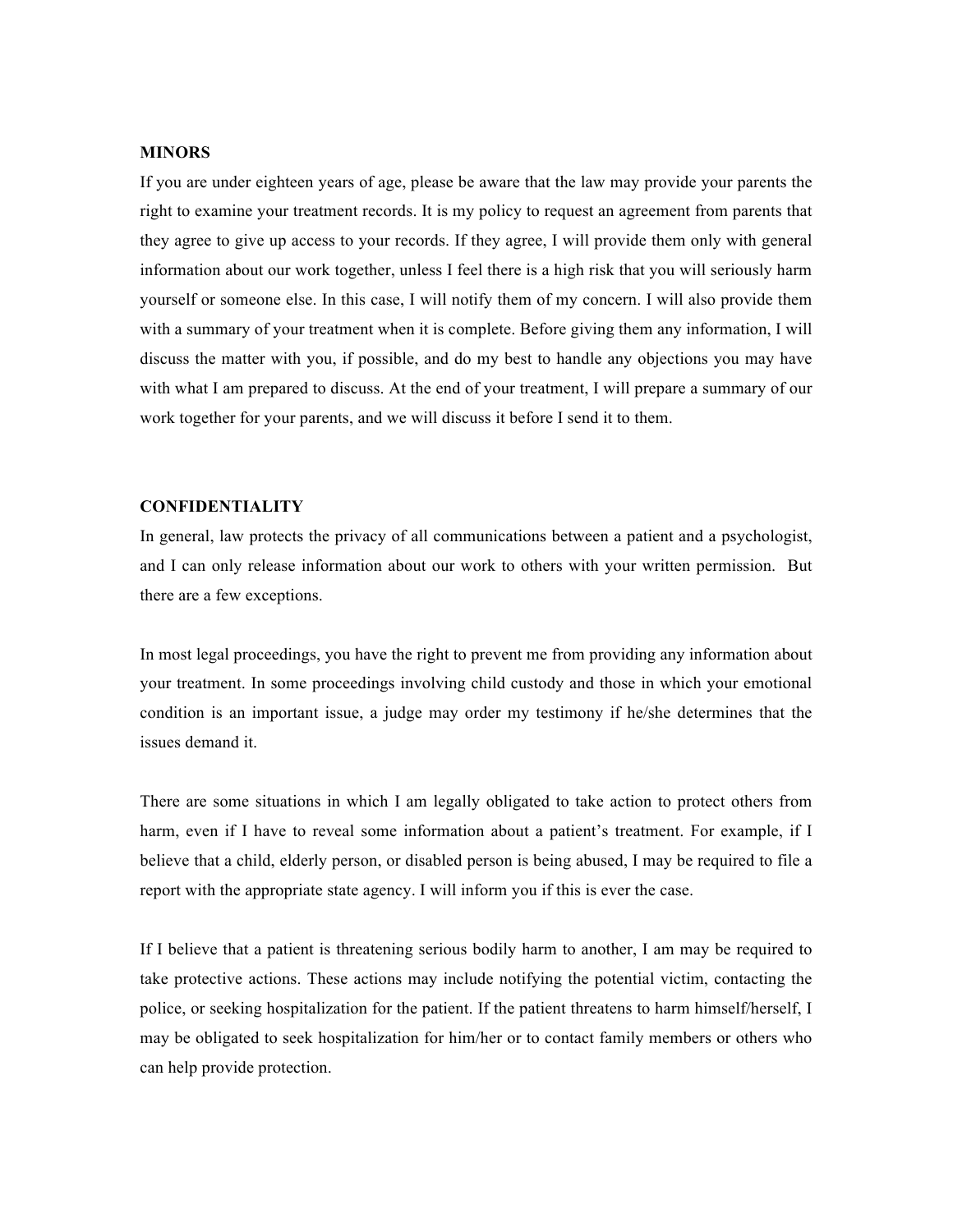## **MINORS**

If you are under eighteen years of age, please be aware that the law may provide your parents the right to examine your treatment records. It is my policy to request an agreement from parents that they agree to give up access to your records. If they agree, I will provide them only with general information about our work together, unless I feel there is a high risk that you will seriously harm yourself or someone else. In this case, I will notify them of my concern. I will also provide them with a summary of your treatment when it is complete. Before giving them any information, I will discuss the matter with you, if possible, and do my best to handle any objections you may have with what I am prepared to discuss. At the end of your treatment, I will prepare a summary of our work together for your parents, and we will discuss it before I send it to them.

# **CONFIDENTIALITY**

In general, law protects the privacy of all communications between a patient and a psychologist, and I can only release information about our work to others with your written permission. But there are a few exceptions.

In most legal proceedings, you have the right to prevent me from providing any information about your treatment. In some proceedings involving child custody and those in which your emotional condition is an important issue, a judge may order my testimony if he/she determines that the issues demand it.

There are some situations in which I am legally obligated to take action to protect others from harm, even if I have to reveal some information about a patient's treatment. For example, if I believe that a child, elderly person, or disabled person is being abused, I may be required to file a report with the appropriate state agency. I will inform you if this is ever the case.

If I believe that a patient is threatening serious bodily harm to another, I am may be required to take protective actions. These actions may include notifying the potential victim, contacting the police, or seeking hospitalization for the patient. If the patient threatens to harm himself/herself, I may be obligated to seek hospitalization for him/her or to contact family members or others who can help provide protection.